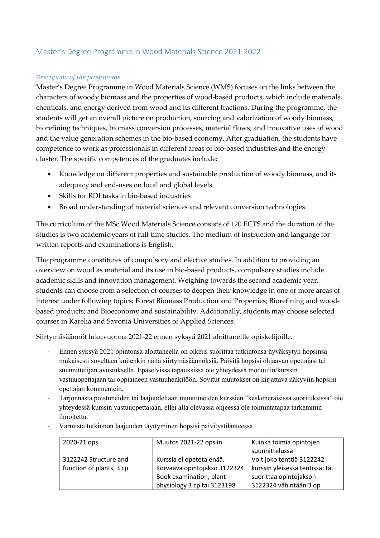# Master's Degree Programme in Wood Materials Science 2021-2022

#### *Description of the programme*

Master's Degree Programme in Wood Materials Science (WMS) focuses on the links between the characters of woody biomass and the properties of wood-based products, which include materials, chemicals, and energy derived from wood and its different fractions. During the programme, the students will get an overall picture on production, sourcing and valorization of woody biomass, biorefining techniques, biomass conversion processes, material flows, and innovative uses of wood and the value generation schemes in the bio-based economy. After graduation, the students have competence to work as professionals in different areas of bio-based industries and the energy cluster. The specific competences of the graduates include:

- Knowledge on different properties and sustainable production of woody biomass, and its adequacy and end-uses on local and global levels.
- Skills for RDI tasks in bio-based industries
- Broad understanding of material sciences and relevant conversion technologies

The curriculum of the MSc Wood Materials Science consists of 120 ECTS and the duration of the studies is two academic years of full-time studies. The medium of instruction and language for written reports and examinations is English.

The programme constitutes of compulsory and elective studies. In addition to providing an overview on wood as material and its use in bio-based products, compulsory studies include academic skills and innovation management. Weighing towards the second academic year, students can choose from a selection of courses to deepen their knowledge in one or more areas of interest under following topics: Forest Biomass Production and Properties; Biorefining and woodbased products; and Bioeconomy and sustainability. Additionally, students may choose selected courses in Karelia and Savonia Universities of Applied Sciences.

Siirtymäsäännöt lukuvuonna 2021-22 ennen syksyä 2021 aloittaneille opiskelijoille.

- Ennen syksyä 2021 opintonsa aloittaneella on oikeus suorittaa tutkintonsa hyväksytyn hopsinsa mukaisesti soveltaen kuitenkin näitä siirtymäsäännöksiä. Päivitä hopsisi ohjaavan opettajasi tai suunnittelijan avustuksella. Epäselvissä tapauksissa ole yhteydessä moduulin/kurssin vastuuopettajaan tai oppiaineen vastuuhenkilöön. Sovitut muutokset on kirjattava näkyviin hopsiin opettajan kommentein.
- Tarjonnasta poistuneiden tai laajuudeltaan muuttuneiden kurssien "keskeneräisissä suorituksissa" ole yhteydessä kurssin vastuuopettajaan, ellei alla olevassa ohjeessa ole toimintatapaa tarkemmin ilmoitettu.
- Varmista tutkinnon laajuuden täyttyminen hopsisi päivitystilanteessa

| 2020-21 ops              | Muutos 2021-22 opsiin        | Kuinka toimia opintojen         |  |
|--------------------------|------------------------------|---------------------------------|--|
|                          |                              | suunnittelussa                  |  |
| 3122242 Structure and    | Kurssia ei opeteta enää.     | Voit joko tenttiä 3122242       |  |
| function of plants, 3 cp | Korvaava opintojakso 3122324 | kurssin yleisessä tentissä; tai |  |
|                          | Book examination, plant      | suorittaa opintojakson          |  |
|                          | physiology 3 cp tai 3123198  | 3122324 vähintään 3 op          |  |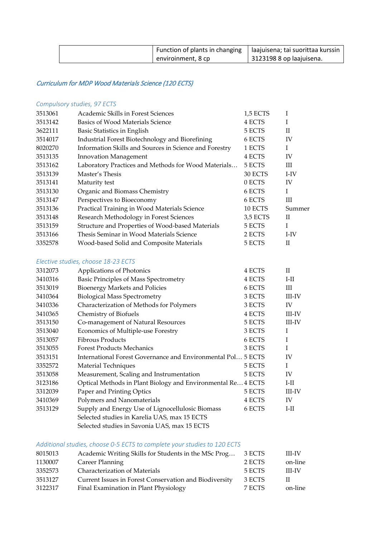| Function of plants in changing   laajuisena; tai suorittaa kurssin |                          |
|--------------------------------------------------------------------|--------------------------|
| enviroinment, 8 cp                                                 | 3123198 8 op laajuisena. |

## Curriculum for MDP Wood Materials Science (120 ECTS)

### *Compulsory studies, 97 ECTS*

| 3513061 | Academic Skills in Forest Sciences                     | 1,5 ECTS |              |
|---------|--------------------------------------------------------|----------|--------------|
| 3513142 | Basics of Wood Materials Science                       | 4 ECTS   |              |
| 3622111 | Basic Statistics in English                            | 5 ECTS   | $\mathbf{I}$ |
| 3514017 | Industrial Forest Biotechnology and Biorefining        | 6 ECTS   | IV           |
| 8020270 | Information Skills and Sources in Science and Forestry | 1 ECTS   | I            |
| 3513135 | <b>Innovation Management</b>                           | 4 ECTS   | IV           |
| 3513162 | Laboratory Practices and Methods for Wood Materials    | 5 ECTS   | Ш            |
| 3513139 | Master's Thesis                                        | 30 ECTS  | I-IV         |
| 3513141 | Maturity test                                          | 0 ECTS   | IV           |
| 3513130 | Organic and Biomass Chemistry                          | 6 ECTS   | I            |
| 3513147 | Perspectives to Bioeconomy                             | 6 ECTS   | Ш            |
| 3513136 | Practical Training in Wood Materials Science           | 10 ECTS  | Summer       |
| 3513148 | Research Methodology in Forest Sciences                | 3,5 ECTS | $\mathbf{I}$ |
| 3513159 | Structure and Properties of Wood-based Materials       | 5 ECTS   | I            |
| 3513166 | Thesis Seminar in Wood Materials Science               | 2 ECTS   | I-IV         |
| 3352578 | Wood-based Solid and Composite Materials               | 5 ECTS   | H            |

#### *Elective studies, choose 18-23 ECTS*

| 3312073 | Applications of Photonics                                    | 4 ECTS | $\mathbf{H}$  |
|---------|--------------------------------------------------------------|--------|---------------|
| 3410316 | Basic Principles of Mass Spectrometry                        | 4 ECTS | $I-II$        |
| 3513019 | Bioenergy Markets and Policies                               | 6 ECTS | Ш             |
| 3410364 | <b>Biological Mass Spectrometry</b>                          | 3 ECTS | <b>III-IV</b> |
| 3410336 | Characterization of Methods for Polymers                     | 3 ECTS | IV            |
| 3410365 | Chemistry of Biofuels                                        | 4 ECTS | III-IV        |
| 3513150 | Co-management of Natural Resources                           | 5 ECTS | III-IV        |
| 3513040 | Economics of Multiple-use Forestry                           | 3 ECTS | T             |
| 3513057 | <b>Fibrous Products</b>                                      | 6 ECTS | L             |
| 3513055 | <b>Forest Products Mechanics</b>                             | 3 ECTS | L             |
| 3513151 | International Forest Governance and Environmental Pol        | 5 ECTS | IV            |
| 3352572 | Material Techniques                                          | 5 ECTS | Τ             |
| 3513058 | Measurement, Scaling and Instrumentation                     | 5 ECTS | IV            |
| 3123186 | Optical Methods in Plant Biology and Environmental Re 4 ECTS |        | $I-II$        |
| 3312039 | Paper and Printing Optics                                    | 5 ECTS | <b>III-IV</b> |
| 3410369 | Polymers and Nanomaterials                                   | 4 ECTS | IV            |
| 3513129 | Supply and Energy Use of Lignocellulosic Biomass             | 6 ECTS | I-II          |
|         | Selected studies in Karelia UAS, max 15 ECTS                 |        |               |
|         | Selected studies in Savonia UAS, max 15 ECTS                 |        |               |

#### *Additional studies, choose 0-5 ECTS to complete your studies to 120 ECTS*

| 8015013 | Academic Writing Skills for Students in the MSc Prog   | 3 ECTS | <b>III-IV</b> |
|---------|--------------------------------------------------------|--------|---------------|
| 1130007 | Career Planning                                        | 2 ECTS | on-line       |
| 3352573 | Characterization of Materials                          | 5 ECTS | <b>III-IV</b> |
| 3513127 | Current Issues in Forest Conservation and Biodiversity | 3 ECTS | H             |
| 3122317 | Final Examination in Plant Physiology                  | 7 ECTS | on-line       |